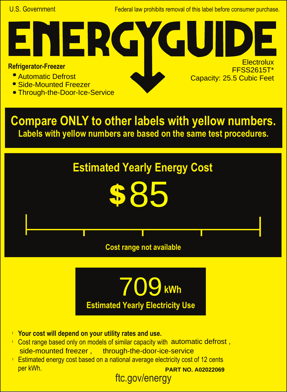U.S. Government **Federal law prohibits removal of this label before consumer purchase.** 

G

**Electrolux** FFSS2615T\*

Capacity: 25.5 Cubic Feet

## **Refrigerator-Freezer**

- Automatic Defrost
- Side-Mounted Freezer
- **Through-the-Door-Ice-Service**

NER

**Compare ONLY to other labels with yellow numbers. Labels with yellow numbers are based on the same test procedures.**





- **Your cost will depend on your utility rates and use.** l
- Cost range based only on models of similar capacity with automatic defrost, side-mounted freezer , through-the-door-ice-service
- ftc.gov/energy **Estimated energy cost based on a national average electricity cost of 12 cents** per kWh. **PART NO. A02022069**